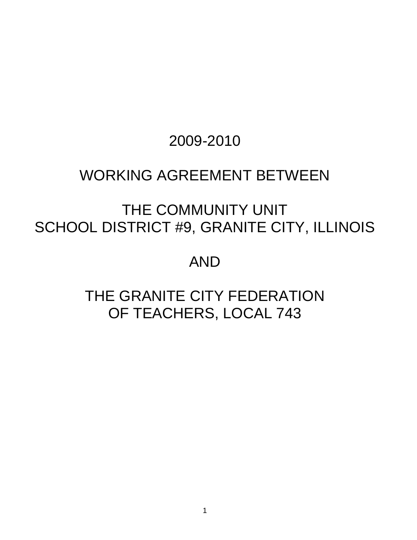# 2009-2010

# WORKING AGREEMENT BETWEEN

# THE COMMUNITY UNIT SCHOOL DISTRICT #9, GRANITE CITY, ILLINOIS

# AND

# THE GRANITE CITY FEDERATION OF TEACHERS, LOCAL 743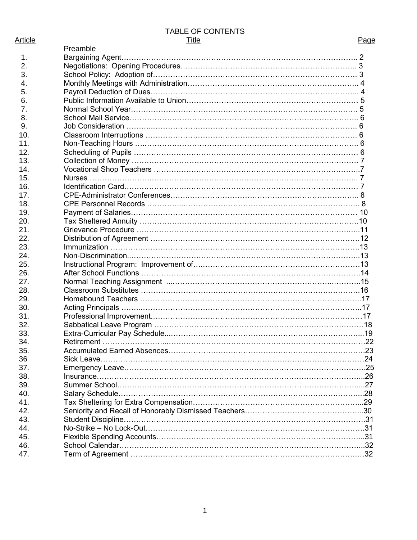# TABLE OF CONTENTS

| Article | Title | Page |
|---------|-------|------|
|         |       |      |

|     | Preamble |     |
|-----|----------|-----|
| 1.  |          |     |
| 2.  |          |     |
| 3.  |          |     |
| 4.  |          |     |
| 5.  |          |     |
| 6.  |          |     |
| 7.  |          |     |
| 8.  |          |     |
| 9.  |          |     |
| 10. |          |     |
| 11. |          |     |
| 12. |          |     |
| 13. |          |     |
| 14. |          |     |
| 15. |          |     |
| 16. |          |     |
| 17. |          |     |
| 18. |          |     |
| 19. |          |     |
| 20. |          |     |
| 21. |          |     |
| 22. |          |     |
| 23. |          |     |
| 24. |          |     |
| 25. |          |     |
| 26. |          |     |
| 27. |          |     |
| 28. |          |     |
| 29. |          |     |
| 30. |          |     |
| 31. |          |     |
| 32. |          |     |
| 33. |          |     |
| 34. |          |     |
| 35. |          | .23 |
|     |          |     |
| 36  |          |     |
| 37. |          |     |
| 38. |          |     |
| 39. |          |     |
| 40. |          |     |
| 41. |          |     |
| 42. |          |     |
| 43. |          |     |
| 44. |          |     |
| 45. |          |     |
| 46. |          |     |
| 47. |          |     |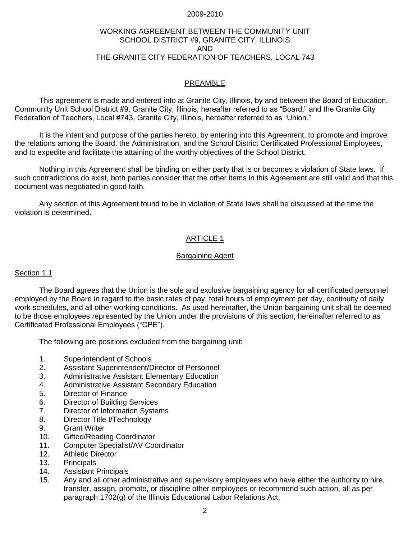#### 2009-2010

# WORKING AGREEMENT BETWEEN THE COMMUNITY UNIT SCHOOL DISTRICT #9, GRANITE CITY, ILLINOIS AND THE GRANITE CITY FEDERATION OF TEACHERS, LOCAL 743

# PREAMBLE

This agreement is made and entered into at Granite City, Illinois, by and between the Board of Education, Community Unit School District #9, Granite City, Illinois, hereafter referred to as "Board," and the Granite City Federation of Teachers, Local #743, Granite City, Illinois, hereafter referred to as "Union."

It is the intent and purpose of the parties hereto, by entering into this Agreement, to promote and improve the relations among the Board, the Administration, and the School District Certificated Professional Employees, and to expedite and facilitate the attaining of the worthy objectives of the School District.

Nothing in this Agreement shall be binding on either party that is or becomes a violation of State laws. If such contradictions do exist, both parties consider that the other items in this Agreement are still valid and that this document was negotiated in good faith.

Any section of this Agreement found to be in violation of State laws shall be discussed at the time the violation is determined.

# ARTICLE 1

#### Bargaining Agent

# Section 1.1

The Board agrees that the Union is the sole and exclusive bargaining agency for all certificated personnel employed by the Board in regard to the basic rates of pay, total hours of employment per day, continuity of daily work schedules, and all other working conditions. As used hereinafter, the Union bargaining unit shall be deemed to be those employees represented by the Union under the provisions of this section, hereinafter referred to as Certificated Professional Employees ("CPE").

The following are positions excluded from the bargaining unit:

- 1. Superintendent of Schools
- 2. Assistant Superintendent/Director of Personnel
- 3. Administrative Assistant Elementary Education
- 4. Administrative Assistant Secondary Education
- 5. Director of Finance
- 6. Director of Building Services
- 7. Director of Information Systems
- 8. Director Title I/Technology
- 9. Grant Writer
- 10. Gifted/Reading Coordinator
- 11. Computer Specialist/AV Coordinator
- 12. Athletic Director
- 13. Principals
- 14. Assistant Principals
- 15. Any and all other administrative and supervisory employees who have either the authority to hire, transfer, assign, promote, or discipline other employees or recommend such action, all as per paragraph 1702(g) of the Illinois Educational Labor Relations Act.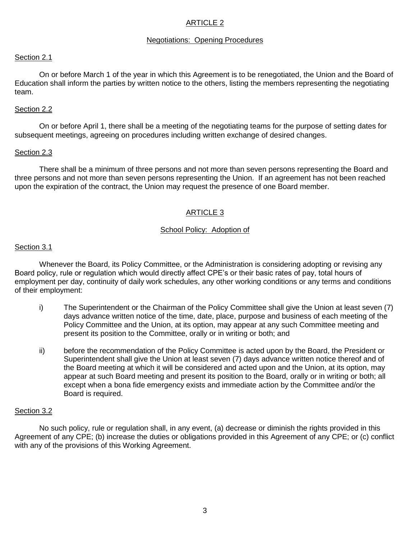### Negotiations: Opening Procedures

#### Section 2.1

On or before March 1 of the year in which this Agreement is to be renegotiated, the Union and the Board of Education shall inform the parties by written notice to the others, listing the members representing the negotiating team.

#### Section 2.2

On or before April 1, there shall be a meeting of the negotiating teams for the purpose of setting dates for subsequent meetings, agreeing on procedures including written exchange of desired changes.

#### Section 2.3

There shall be a minimum of three persons and not more than seven persons representing the Board and three persons and not more than seven persons representing the Union. If an agreement has not been reached upon the expiration of the contract, the Union may request the presence of one Board member.

# ARTICLE 3

# School Policy: Adoption of

#### Section 3.1

Whenever the Board, its Policy Committee, or the Administration is considering adopting or revising any Board policy, rule or regulation which would directly affect CPE's or their basic rates of pay, total hours of employment per day, continuity of daily work schedules, any other working conditions or any terms and conditions of their employment:

- i) The Superintendent or the Chairman of the Policy Committee shall give the Union at least seven (7) days advance written notice of the time, date, place, purpose and business of each meeting of the Policy Committee and the Union, at its option, may appear at any such Committee meeting and present its position to the Committee, orally or in writing or both; and
- ii) before the recommendation of the Policy Committee is acted upon by the Board, the President or Superintendent shall give the Union at least seven (7) days advance written notice thereof and of the Board meeting at which it will be considered and acted upon and the Union, at its option, may appear at such Board meeting and present its position to the Board, orally or in writing or both; all except when a bona fide emergency exists and immediate action by the Committee and/or the Board is required.

#### Section 3.2

No such policy, rule or regulation shall, in any event, (a) decrease or diminish the rights provided in this Agreement of any CPE; (b) increase the duties or obligations provided in this Agreement of any CPE; or (c) conflict with any of the provisions of this Working Agreement.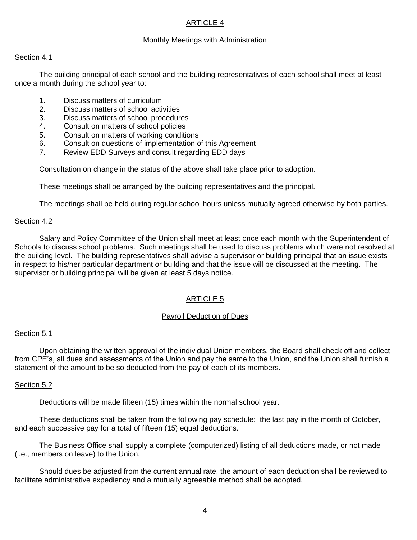# Monthly Meetings with Administration

#### Section 4.1

The building principal of each school and the building representatives of each school shall meet at least once a month during the school year to:

- 1. Discuss matters of curriculum
- 2. Discuss matters of school activities
- 3. Discuss matters of school procedures
- 4. Consult on matters of school policies
- 5. Consult on matters of working conditions
- 6. Consult on questions of implementation of this Agreement
- 7. Review EDD Surveys and consult regarding EDD days

Consultation on change in the status of the above shall take place prior to adoption.

These meetings shall be arranged by the building representatives and the principal.

The meetings shall be held during regular school hours unless mutually agreed otherwise by both parties.

#### Section 4.2

Salary and Policy Committee of the Union shall meet at least once each month with the Superintendent of Schools to discuss school problems. Such meetings shall be used to discuss problems which were not resolved at the building level. The building representatives shall advise a supervisor or building principal that an issue exists in respect to his/her particular department or building and that the issue will be discussed at the meeting. The supervisor or building principal will be given at least 5 days notice.

# ARTICLE 5

#### Payroll Deduction of Dues

# Section 5.1

Upon obtaining the written approval of the individual Union members, the Board shall check off and collect from CPE's, all dues and assessments of the Union and pay the same to the Union, and the Union shall furnish a statement of the amount to be so deducted from the pay of each of its members.

#### Section 5.2

Deductions will be made fifteen (15) times within the normal school year.

These deductions shall be taken from the following pay schedule: the last pay in the month of October, and each successive pay for a total of fifteen (15) equal deductions.

The Business Office shall supply a complete (computerized) listing of all deductions made, or not made (i.e., members on leave) to the Union.

Should dues be adjusted from the current annual rate, the amount of each deduction shall be reviewed to facilitate administrative expediency and a mutually agreeable method shall be adopted.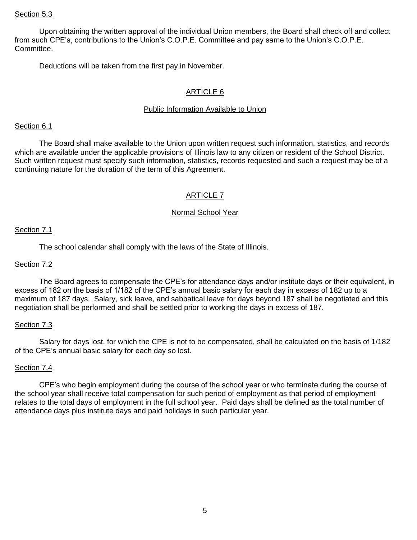#### Section 5.3

Upon obtaining the written approval of the individual Union members, the Board shall check off and collect from such CPE's, contributions to the Union's C.O.P.E. Committee and pay same to the Union's C.O.P.E. Committee.

Deductions will be taken from the first pay in November.

# ARTICLE 6

# Public Information Available to Union

#### Section 6.1

The Board shall make available to the Union upon written request such information, statistics, and records which are available under the applicable provisions of Illinois law to any citizen or resident of the School District. Such written request must specify such information, statistics, records requested and such a request may be of a continuing nature for the duration of the term of this Agreement.

# ARTICLE 7

#### Normal School Year

#### Section 7.1

The school calendar shall comply with the laws of the State of Illinois.

## Section 7.2

The Board agrees to compensate the CPE's for attendance days and/or institute days or their equivalent, in excess of 182 on the basis of 1/182 of the CPE's annual basic salary for each day in excess of 182 up to a maximum of 187 days. Salary, sick leave, and sabbatical leave for days beyond 187 shall be negotiated and this negotiation shall be performed and shall be settled prior to working the days in excess of 187.

#### Section 7.3

Salary for days lost, for which the CPE is not to be compensated, shall be calculated on the basis of 1/182 of the CPE's annual basic salary for each day so lost.

#### Section 7.4

CPE's who begin employment during the course of the school year or who terminate during the course of the school year shall receive total compensation for such period of employment as that period of employment relates to the total days of employment in the full school year. Paid days shall be defined as the total number of attendance days plus institute days and paid holidays in such particular year.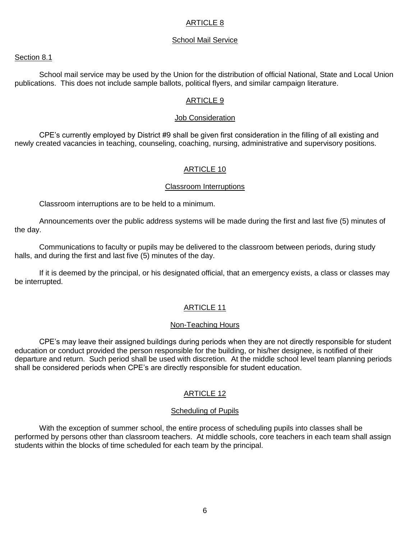#### School Mail Service

#### Section 8.1

School mail service may be used by the Union for the distribution of official National, State and Local Union publications. This does not include sample ballots, political flyers, and similar campaign literature.

#### ARTICLE 9

#### Job Consideration

CPE's currently employed by District #9 shall be given first consideration in the filling of all existing and newly created vacancies in teaching, counseling, coaching, nursing, administrative and supervisory positions.

#### ARTICLE 10

#### Classroom Interruptions

Classroom interruptions are to be held to a minimum.

Announcements over the public address systems will be made during the first and last five (5) minutes of the day.

Communications to faculty or pupils may be delivered to the classroom between periods, during study halls, and during the first and last five (5) minutes of the day.

If it is deemed by the principal, or his designated official, that an emergency exists, a class or classes may be interrupted.

#### ARTICLE 11

#### Non-Teaching Hours

CPE's may leave their assigned buildings during periods when they are not directly responsible for student education or conduct provided the person responsible for the building, or his/her designee, is notified of their departure and return. Such period shall be used with discretion. At the middle school level team planning periods shall be considered periods when CPE's are directly responsible for student education.

# ARTICLE 12

#### Scheduling of Pupils

With the exception of summer school, the entire process of scheduling pupils into classes shall be performed by persons other than classroom teachers. At middle schools, core teachers in each team shall assign students within the blocks of time scheduled for each team by the principal.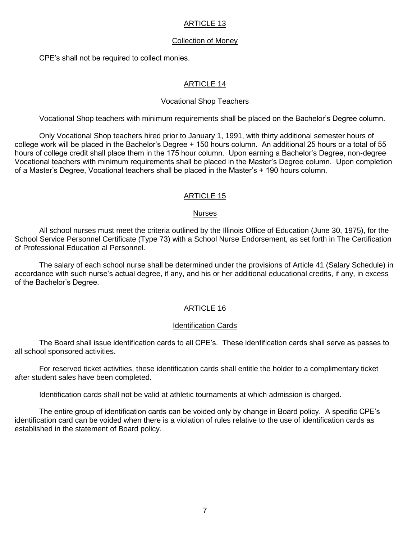### Collection of Money

CPE's shall not be required to collect monies.

# ARTICLE 14

#### Vocational Shop Teachers

Vocational Shop teachers with minimum requirements shall be placed on the Bachelor's Degree column.

Only Vocational Shop teachers hired prior to January 1, 1991, with thirty additional semester hours of college work will be placed in the Bachelor's Degree + 150 hours column. An additional 25 hours or a total of 55 hours of college credit shall place them in the 175 hour column. Upon earning a Bachelor's Degree, non-degree Vocational teachers with minimum requirements shall be placed in the Master's Degree column. Upon completion of a Master's Degree, Vocational teachers shall be placed in the Master's + 190 hours column.

#### ARTICLE 15

#### **Nurses**

All school nurses must meet the criteria outlined by the Illinois Office of Education (June 30, 1975), for the School Service Personnel Certificate (Type 73) with a School Nurse Endorsement, as set forth in The Certification of Professional Education al Personnel.

The salary of each school nurse shall be determined under the provisions of Article 41 (Salary Schedule) in accordance with such nurse's actual degree, if any, and his or her additional educational credits, if any, in excess of the Bachelor's Degree.

# ARTICLE 16

#### Identification Cards

The Board shall issue identification cards to all CPE's. These identification cards shall serve as passes to all school sponsored activities.

For reserved ticket activities, these identification cards shall entitle the holder to a complimentary ticket after student sales have been completed.

Identification cards shall not be valid at athletic tournaments at which admission is charged.

The entire group of identification cards can be voided only by change in Board policy. A specific CPE's identification card can be voided when there is a violation of rules relative to the use of identification cards as established in the statement of Board policy.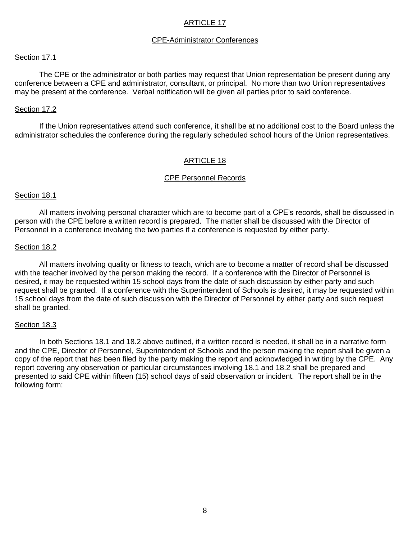#### CPE-Administrator Conferences

#### Section 17.1

The CPE or the administrator or both parties may request that Union representation be present during any conference between a CPE and administrator, consultant, or principal. No more than two Union representatives may be present at the conference. Verbal notification will be given all parties prior to said conference.

#### Section 17.2

If the Union representatives attend such conference, it shall be at no additional cost to the Board unless the administrator schedules the conference during the regularly scheduled school hours of the Union representatives.

#### ARTICLE 18

#### CPE Personnel Records

#### Section 18.1

All matters involving personal character which are to become part of a CPE's records, shall be discussed in person with the CPE before a written record is prepared. The matter shall be discussed with the Director of Personnel in a conference involving the two parties if a conference is requested by either party.

#### Section 18.2

All matters involving quality or fitness to teach, which are to become a matter of record shall be discussed with the teacher involved by the person making the record. If a conference with the Director of Personnel is desired, it may be requested within 15 school days from the date of such discussion by either party and such request shall be granted. If a conference with the Superintendent of Schools is desired, it may be requested within 15 school days from the date of such discussion with the Director of Personnel by either party and such request shall be granted.

#### Section 18.3

In both Sections 18.1 and 18.2 above outlined, if a written record is needed, it shall be in a narrative form and the CPE, Director of Personnel, Superintendent of Schools and the person making the report shall be given a copy of the report that has been filed by the party making the report and acknowledged in writing by the CPE. Any report covering any observation or particular circumstances involving 18.1 and 18.2 shall be prepared and presented to said CPE within fifteen (15) school days of said observation or incident. The report shall be in the following form: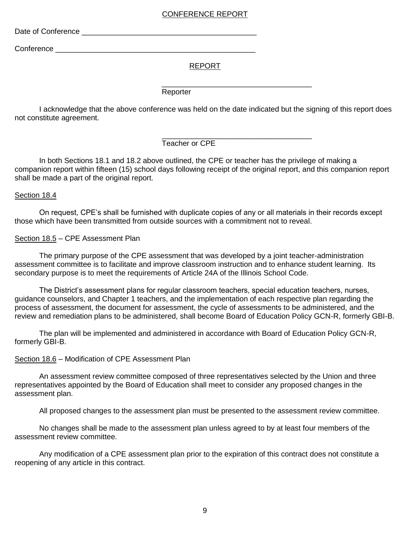# CONFERENCE REPORT

Date of Conference \_\_\_\_\_\_\_\_\_\_\_\_\_\_\_\_\_\_\_\_\_\_\_\_\_\_\_\_\_\_\_\_\_\_\_\_\_\_\_\_\_\_

Conference **with the conference** 

#### REPORT

\_\_\_\_\_\_\_\_\_\_\_\_\_\_\_\_\_\_\_\_\_\_\_\_\_\_\_\_\_\_\_\_\_\_\_\_

Reporter

I acknowledge that the above conference was held on the date indicated but the signing of this report does not constitute agreement.

> \_\_\_\_\_\_\_\_\_\_\_\_\_\_\_\_\_\_\_\_\_\_\_\_\_\_\_\_\_\_\_\_\_\_\_\_ Teacher or CPE

In both Sections 18.1 and 18.2 above outlined, the CPE or teacher has the privilege of making a companion report within fifteen (15) school days following receipt of the original report, and this companion report shall be made a part of the original report.

#### Section 18.4

On request, CPE's shall be furnished with duplicate copies of any or all materials in their records except those which have been transmitted from outside sources with a commitment not to reveal.

Section 18.5 – CPE Assessment Plan

The primary purpose of the CPE assessment that was developed by a joint teacher-administration assessment committee is to facilitate and improve classroom instruction and to enhance student learning. Its secondary purpose is to meet the requirements of Article 24A of the Illinois School Code.

The District's assessment plans for regular classroom teachers, special education teachers, nurses, guidance counselors, and Chapter 1 teachers, and the implementation of each respective plan regarding the process of assessment, the document for assessment, the cycle of assessments to be administered, and the review and remediation plans to be administered, shall become Board of Education Policy GCN-R, formerly GBI-B.

The plan will be implemented and administered in accordance with Board of Education Policy GCN-R, formerly GBI-B.

Section 18.6 – Modification of CPE Assessment Plan

An assessment review committee composed of three representatives selected by the Union and three representatives appointed by the Board of Education shall meet to consider any proposed changes in the assessment plan.

All proposed changes to the assessment plan must be presented to the assessment review committee.

No changes shall be made to the assessment plan unless agreed to by at least four members of the assessment review committee.

Any modification of a CPE assessment plan prior to the expiration of this contract does not constitute a reopening of any article in this contract.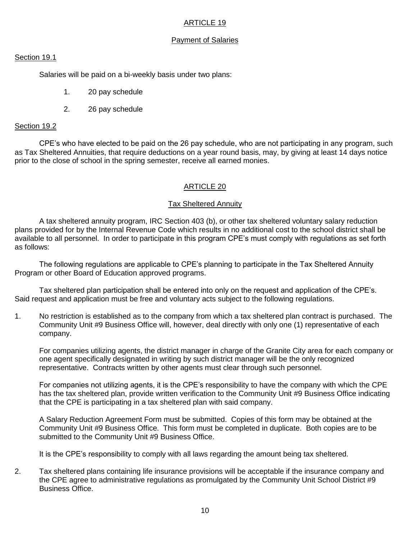# Payment of Salaries

### Section 19.1

Salaries will be paid on a bi-weekly basis under two plans:

- 1. 20 pay schedule
- 2. 26 pay schedule

#### Section 19.2

CPE's who have elected to be paid on the 26 pay schedule, who are not participating in any program, such as Tax Sheltered Annuities, that require deductions on a year round basis, may, by giving at least 14 days notice prior to the close of school in the spring semester, receive all earned monies.

# ARTICLE 20

#### Tax Sheltered Annuity

A tax sheltered annuity program, IRC Section 403 (b), or other tax sheltered voluntary salary reduction plans provided for by the Internal Revenue Code which results in no additional cost to the school district shall be available to all personnel. In order to participate in this program CPE's must comply with regulations as set forth as follows:

The following regulations are applicable to CPE's planning to participate in the Tax Sheltered Annuity Program or other Board of Education approved programs.

Tax sheltered plan participation shall be entered into only on the request and application of the CPE's. Said request and application must be free and voluntary acts subject to the following regulations.

1. No restriction is established as to the company from which a tax sheltered plan contract is purchased. The Community Unit #9 Business Office will, however, deal directly with only one (1) representative of each company.

For companies utilizing agents, the district manager in charge of the Granite City area for each company or one agent specifically designated in writing by such district manager will be the only recognized representative. Contracts written by other agents must clear through such personnel.

For companies not utilizing agents, it is the CPE's responsibility to have the company with which the CPE has the tax sheltered plan, provide written verification to the Community Unit #9 Business Office indicating that the CPE is participating in a tax sheltered plan with said company.

A Salary Reduction Agreement Form must be submitted. Copies of this form may be obtained at the Community Unit #9 Business Office. This form must be completed in duplicate. Both copies are to be submitted to the Community Unit #9 Business Office.

It is the CPE's responsibility to comply with all laws regarding the amount being tax sheltered.

2. Tax sheltered plans containing life insurance provisions will be acceptable if the insurance company and the CPE agree to administrative regulations as promulgated by the Community Unit School District #9 Business Office.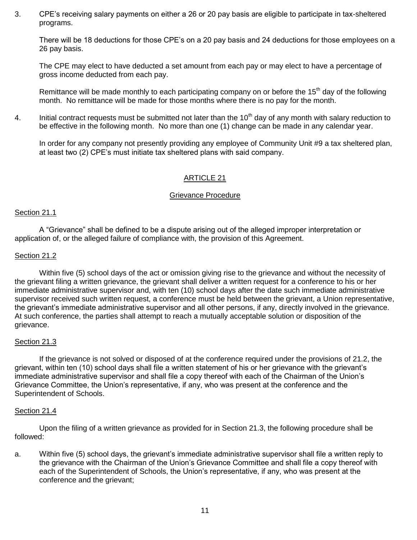3. CPE's receiving salary payments on either a 26 or 20 pay basis are eligible to participate in tax-sheltered programs.

There will be 18 deductions for those CPE's on a 20 pay basis and 24 deductions for those employees on a 26 pay basis.

The CPE may elect to have deducted a set amount from each pay or may elect to have a percentage of gross income deducted from each pay.

Remittance will be made monthly to each participating company on or before the 15<sup>th</sup> day of the following month. No remittance will be made for those months where there is no pay for the month.

4. Initial contract requests must be submitted not later than the  $10<sup>th</sup>$  day of any month with salary reduction to be effective in the following month. No more than one (1) change can be made in any calendar year.

In order for any company not presently providing any employee of Community Unit #9 a tax sheltered plan, at least two (2) CPE's must initiate tax sheltered plans with said company.

# ARTICLE 21

#### Grievance Procedure

#### Section 21.1

A "Grievance" shall be defined to be a dispute arising out of the alleged improper interpretation or application of, or the alleged failure of compliance with, the provision of this Agreement.

#### Section 21.2

Within five (5) school days of the act or omission giving rise to the grievance and without the necessity of the grievant filing a written grievance, the grievant shall deliver a written request for a conference to his or her immediate administrative supervisor and, with ten (10) school days after the date such immediate administrative supervisor received such written request, a conference must be held between the grievant, a Union representative, the grievant's immediate administrative supervisor and all other persons, if any, directly involved in the grievance. At such conference, the parties shall attempt to reach a mutually acceptable solution or disposition of the grievance.

#### Section 21.3

If the grievance is not solved or disposed of at the conference required under the provisions of 21.2, the grievant, within ten (10) school days shall file a written statement of his or her grievance with the grievant's immediate administrative supervisor and shall file a copy thereof with each of the Chairman of the Union's Grievance Committee, the Union's representative, if any, who was present at the conference and the Superintendent of Schools.

#### Section 21.4

Upon the filing of a written grievance as provided for in Section 21.3, the following procedure shall be followed:

a. Within five (5) school days, the grievant's immediate administrative supervisor shall file a written reply to the grievance with the Chairman of the Union's Grievance Committee and shall file a copy thereof with each of the Superintendent of Schools, the Union's representative, if any, who was present at the conference and the grievant;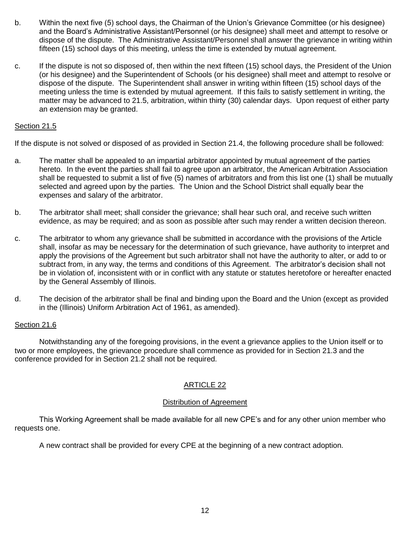- b. Within the next five (5) school days, the Chairman of the Union's Grievance Committee (or his designee) and the Board's Administrative Assistant/Personnel (or his designee) shall meet and attempt to resolve or dispose of the dispute. The Administrative Assistant/Personnel shall answer the grievance in writing within fifteen (15) school days of this meeting, unless the time is extended by mutual agreement.
- c. If the dispute is not so disposed of, then within the next fifteen (15) school days, the President of the Union (or his designee) and the Superintendent of Schools (or his designee) shall meet and attempt to resolve or dispose of the dispute. The Superintendent shall answer in writing within fifteen (15) school days of the meeting unless the time is extended by mutual agreement. If this fails to satisfy settlement in writing, the matter may be advanced to 21.5, arbitration, within thirty (30) calendar days. Upon request of either party an extension may be granted.

# Section 21.5

If the dispute is not solved or disposed of as provided in Section 21.4, the following procedure shall be followed:

- a. The matter shall be appealed to an impartial arbitrator appointed by mutual agreement of the parties hereto. In the event the parties shall fail to agree upon an arbitrator, the American Arbitration Association shall be requested to submit a list of five (5) names of arbitrators and from this list one (1) shall be mutually selected and agreed upon by the parties. The Union and the School District shall equally bear the expenses and salary of the arbitrator.
- b. The arbitrator shall meet; shall consider the grievance; shall hear such oral, and receive such written evidence, as may be required; and as soon as possible after such may render a written decision thereon.
- c. The arbitrator to whom any grievance shall be submitted in accordance with the provisions of the Article shall, insofar as may be necessary for the determination of such grievance, have authority to interpret and apply the provisions of the Agreement but such arbitrator shall not have the authority to alter, or add to or subtract from, in any way, the terms and conditions of this Agreement. The arbitrator's decision shall not be in violation of, inconsistent with or in conflict with any statute or statutes heretofore or hereafter enacted by the General Assembly of Illinois.
- d. The decision of the arbitrator shall be final and binding upon the Board and the Union (except as provided in the (Illinois) Uniform Arbitration Act of 1961, as amended).

#### Section 21.6

Notwithstanding any of the foregoing provisions, in the event a grievance applies to the Union itself or to two or more employees, the grievance procedure shall commence as provided for in Section 21.3 and the conference provided for in Section 21.2 shall not be required.

# ARTICLE 22

#### Distribution of Agreement

This Working Agreement shall be made available for all new CPE's and for any other union member who requests one.

A new contract shall be provided for every CPE at the beginning of a new contract adoption.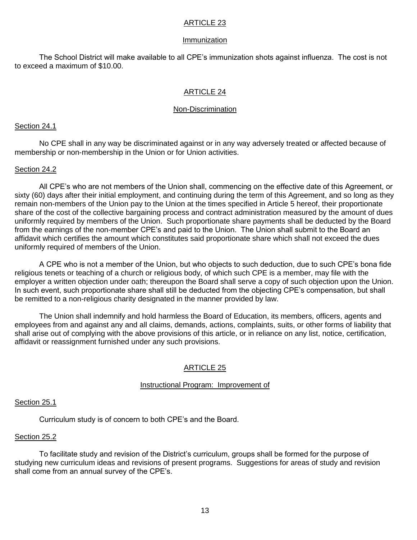#### Immunization

The School District will make available to all CPE's immunization shots against influenza. The cost is not to exceed a maximum of \$10.00.

# ARTICLE 24

#### Non-Discrimination

#### Section 24.1

No CPE shall in any way be discriminated against or in any way adversely treated or affected because of membership or non-membership in the Union or for Union activities.

#### Section 24.2

All CPE's who are not members of the Union shall, commencing on the effective date of this Agreement, or sixty (60) days after their initial employment, and continuing during the term of this Agreement, and so long as they remain non-members of the Union pay to the Union at the times specified in Article 5 hereof, their proportionate share of the cost of the collective bargaining process and contract administration measured by the amount of dues uniformly required by members of the Union. Such proportionate share payments shall be deducted by the Board from the earnings of the non-member CPE's and paid to the Union. The Union shall submit to the Board an affidavit which certifies the amount which constitutes said proportionate share which shall not exceed the dues uniformly required of members of the Union.

A CPE who is not a member of the Union, but who objects to such deduction, due to such CPE's bona fide religious tenets or teaching of a church or religious body, of which such CPE is a member, may file with the employer a written objection under oath; thereupon the Board shall serve a copy of such objection upon the Union. In such event, such proportionate share shall still be deducted from the objecting CPE's compensation, but shall be remitted to a non-religious charity designated in the manner provided by law.

The Union shall indemnify and hold harmless the Board of Education, its members, officers, agents and employees from and against any and all claims, demands, actions, complaints, suits, or other forms of liability that shall arise out of complying with the above provisions of this article, or in reliance on any list, notice, certification, affidavit or reassignment furnished under any such provisions.

# ARTICLE 25

# Instructional Program: Improvement of

#### Section 25.1

Curriculum study is of concern to both CPE's and the Board.

# Section 25.2

To facilitate study and revision of the District's curriculum, groups shall be formed for the purpose of studying new curriculum ideas and revisions of present programs. Suggestions for areas of study and revision shall come from an annual survey of the CPE's.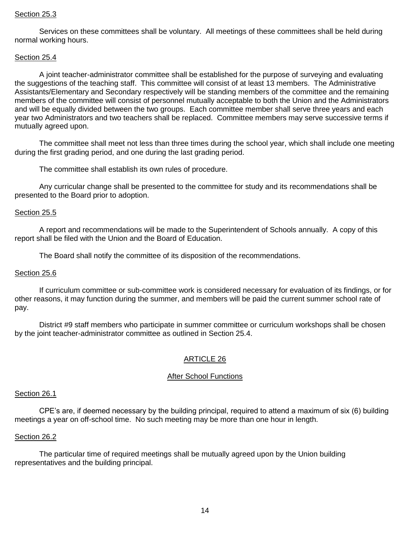#### Section 25.3

Services on these committees shall be voluntary. All meetings of these committees shall be held during normal working hours.

#### Section 25.4

A joint teacher-administrator committee shall be established for the purpose of surveying and evaluating the suggestions of the teaching staff. This committee will consist of at least 13 members. The Administrative Assistants/Elementary and Secondary respectively will be standing members of the committee and the remaining members of the committee will consist of personnel mutually acceptable to both the Union and the Administrators and will be equally divided between the two groups. Each committee member shall serve three years and each year two Administrators and two teachers shall be replaced. Committee members may serve successive terms if mutually agreed upon.

The committee shall meet not less than three times during the school year, which shall include one meeting during the first grading period, and one during the last grading period.

The committee shall establish its own rules of procedure.

Any curricular change shall be presented to the committee for study and its recommendations shall be presented to the Board prior to adoption.

#### Section 25.5

A report and recommendations will be made to the Superintendent of Schools annually. A copy of this report shall be filed with the Union and the Board of Education.

The Board shall notify the committee of its disposition of the recommendations.

#### Section 25.6

If curriculum committee or sub-committee work is considered necessary for evaluation of its findings, or for other reasons, it may function during the summer, and members will be paid the current summer school rate of pay.

District #9 staff members who participate in summer committee or curriculum workshops shall be chosen by the joint teacher-administrator committee as outlined in Section 25.4.

# ARTICLE 26

#### After School Functions

# Section 26.1

CPE's are, if deemed necessary by the building principal, required to attend a maximum of six (6) building meetings a year on off-school time. No such meeting may be more than one hour in length.

#### Section 26.2

The particular time of required meetings shall be mutually agreed upon by the Union building representatives and the building principal.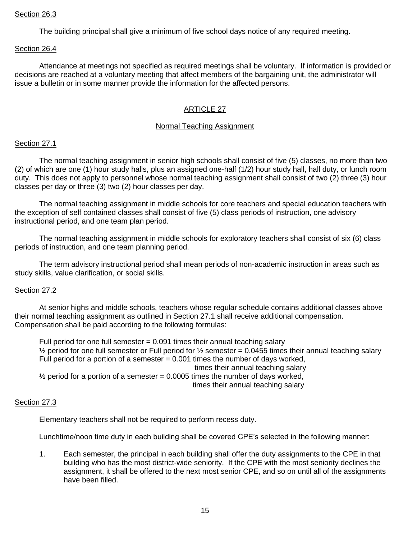#### Section 26.3

The building principal shall give a minimum of five school days notice of any required meeting.

#### Section 26.4

Attendance at meetings not specified as required meetings shall be voluntary. If information is provided or decisions are reached at a voluntary meeting that affect members of the bargaining unit, the administrator will issue a bulletin or in some manner provide the information for the affected persons.

# ARTICLE 27

#### Normal Teaching Assignment

#### Section 27.1

The normal teaching assignment in senior high schools shall consist of five (5) classes, no more than two (2) of which are one (1) hour study halls, plus an assigned one-half (1/2) hour study hall, hall duty, or lunch room duty. This does not apply to personnel whose normal teaching assignment shall consist of two (2) three (3) hour classes per day or three (3) two (2) hour classes per day.

The normal teaching assignment in middle schools for core teachers and special education teachers with the exception of self contained classes shall consist of five (5) class periods of instruction, one advisory instructional period, and one team plan period.

The normal teaching assignment in middle schools for exploratory teachers shall consist of six (6) class periods of instruction, and one team planning period.

The term advisory instructional period shall mean periods of non-academic instruction in areas such as study skills, value clarification, or social skills.

#### Section 27.2

At senior highs and middle schools, teachers whose regular schedule contains additional classes above their normal teaching assignment as outlined in Section 27.1 shall receive additional compensation. Compensation shall be paid according to the following formulas:

Full period for one full semester  $= 0.091$  times their annual teaching salary  $\frac{1}{2}$  period for one full semester or Full period for  $\frac{1}{2}$  semester = 0.0455 times their annual teaching salary Full period for a portion of a semester  $= 0.001$  times the number of days worked, times their annual teaching salary  $\frac{1}{2}$  period for a portion of a semester = 0.0005 times the number of days worked, times their annual teaching salary

#### Section 27.3

Elementary teachers shall not be required to perform recess duty.

Lunchtime/noon time duty in each building shall be covered CPE's selected in the following manner:

1. Each semester, the principal in each building shall offer the duty assignments to the CPE in that building who has the most district-wide seniority. If the CPE with the most seniority declines the assignment, it shall be offered to the next most senior CPE, and so on until all of the assignments have been filled.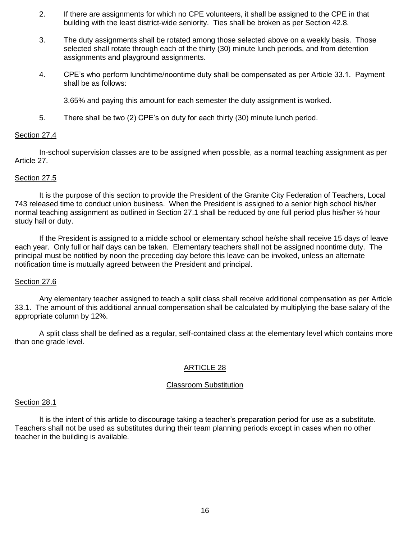- 2. If there are assignments for which no CPE volunteers, it shall be assigned to the CPE in that building with the least district-wide seniority. Ties shall be broken as per Section 42.8.
- 3. The duty assignments shall be rotated among those selected above on a weekly basis. Those selected shall rotate through each of the thirty (30) minute lunch periods, and from detention assignments and playground assignments.
- 4. CPE's who perform lunchtime/noontime duty shall be compensated as per Article 33.1. Payment shall be as follows:

3.65% and paying this amount for each semester the duty assignment is worked.

5. There shall be two (2) CPE's on duty for each thirty (30) minute lunch period.

#### Section 27.4

In-school supervision classes are to be assigned when possible, as a normal teaching assignment as per Article 27.

#### Section 27.5

It is the purpose of this section to provide the President of the Granite City Federation of Teachers, Local 743 released time to conduct union business. When the President is assigned to a senior high school his/her normal teaching assignment as outlined in Section 27.1 shall be reduced by one full period plus his/her ½ hour study hall or duty.

If the President is assigned to a middle school or elementary school he/she shall receive 15 days of leave each year. Only full or half days can be taken. Elementary teachers shall not be assigned noontime duty. The principal must be notified by noon the preceding day before this leave can be invoked, unless an alternate notification time is mutually agreed between the President and principal.

#### Section 27.6

Any elementary teacher assigned to teach a split class shall receive additional compensation as per Article 33.1. The amount of this additional annual compensation shall be calculated by multiplying the base salary of the appropriate column by 12%.

A split class shall be defined as a regular, self-contained class at the elementary level which contains more than one grade level.

# ARTICLE 28

#### Classroom Substitution

#### Section 28.1

It is the intent of this article to discourage taking a teacher's preparation period for use as a substitute. Teachers shall not be used as substitutes during their team planning periods except in cases when no other teacher in the building is available.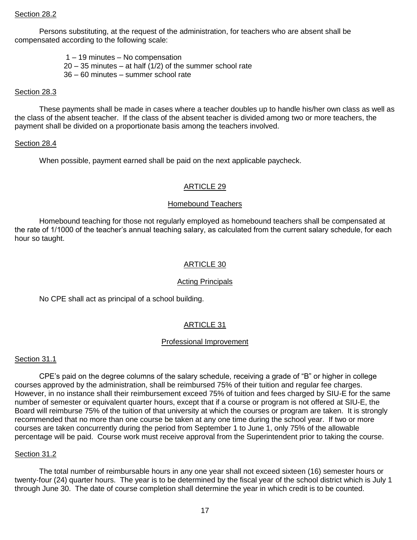Persons substituting, at the request of the administration, for teachers who are absent shall be compensated according to the following scale:

1 – 19 minutes – No compensation

- $20 35$  minutes  $-$  at half (1/2) of the summer school rate
- 36 60 minutes summer school rate

#### Section 28.3

These payments shall be made in cases where a teacher doubles up to handle his/her own class as well as the class of the absent teacher. If the class of the absent teacher is divided among two or more teachers, the payment shall be divided on a proportionate basis among the teachers involved.

#### Section 28.4

When possible, payment earned shall be paid on the next applicable paycheck.

#### ARTICLE 29

#### Homebound Teachers

Homebound teaching for those not regularly employed as homebound teachers shall be compensated at the rate of 1/1000 of the teacher's annual teaching salary, as calculated from the current salary schedule, for each hour so taught.

# ARTICLE 30

#### Acting Principals

No CPE shall act as principal of a school building.

#### ARTICLE 31

#### Professional Improvement

#### Section 31.1

CPE's paid on the degree columns of the salary schedule, receiving a grade of "B" or higher in college courses approved by the administration, shall be reimbursed 75% of their tuition and regular fee charges. However, in no instance shall their reimbursement exceed 75% of tuition and fees charged by SIU-E for the same number of semester or equivalent quarter hours, except that if a course or program is not offered at SIU-E, the Board will reimburse 75% of the tuition of that university at which the courses or program are taken. It is strongly recommended that no more than one course be taken at any one time during the school year. If two or more courses are taken concurrently during the period from September 1 to June 1, only 75% of the allowable percentage will be paid. Course work must receive approval from the Superintendent prior to taking the course.

#### Section 31.2

The total number of reimbursable hours in any one year shall not exceed sixteen (16) semester hours or twenty-four (24) quarter hours. The year is to be determined by the fiscal year of the school district which is July 1 through June 30. The date of course completion shall determine the year in which credit is to be counted.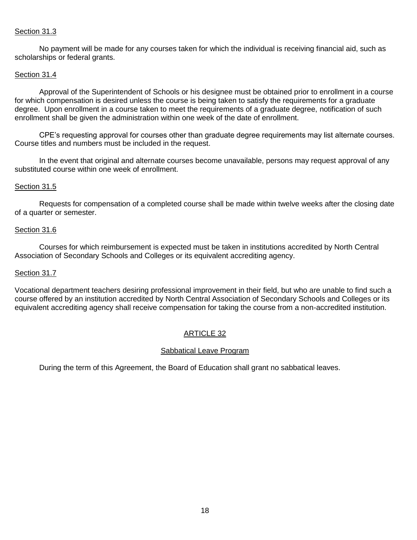# Section 31.3

No payment will be made for any courses taken for which the individual is receiving financial aid, such as scholarships or federal grants.

#### Section 31.4

Approval of the Superintendent of Schools or his designee must be obtained prior to enrollment in a course for which compensation is desired unless the course is being taken to satisfy the requirements for a graduate degree. Upon enrollment in a course taken to meet the requirements of a graduate degree, notification of such enrollment shall be given the administration within one week of the date of enrollment.

CPE's requesting approval for courses other than graduate degree requirements may list alternate courses. Course titles and numbers must be included in the request.

In the event that original and alternate courses become unavailable, persons may request approval of any substituted course within one week of enrollment.

#### Section 31.5

Requests for compensation of a completed course shall be made within twelve weeks after the closing date of a quarter or semester.

#### Section 31.6

Courses for which reimbursement is expected must be taken in institutions accredited by North Central Association of Secondary Schools and Colleges or its equivalent accrediting agency.

#### Section 31.7

Vocational department teachers desiring professional improvement in their field, but who are unable to find such a course offered by an institution accredited by North Central Association of Secondary Schools and Colleges or its equivalent accrediting agency shall receive compensation for taking the course from a non-accredited institution.

# ARTICLE 32

#### Sabbatical Leave Program

During the term of this Agreement, the Board of Education shall grant no sabbatical leaves.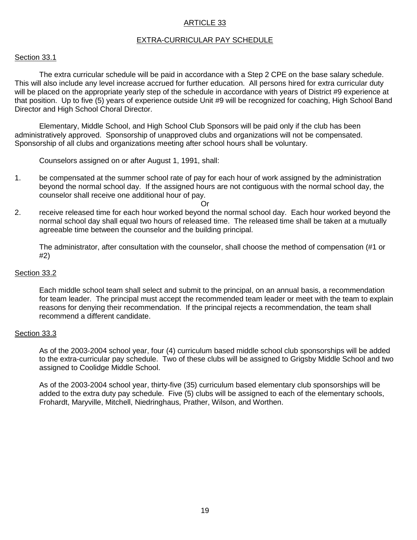# EXTRA-CURRICULAR PAY SCHEDULE

#### Section 33.1

The extra curricular schedule will be paid in accordance with a Step 2 CPE on the base salary schedule. This will also include any level increase accrued for further education. All persons hired for extra curricular duty will be placed on the appropriate yearly step of the schedule in accordance with years of District #9 experience at that position. Up to five (5) years of experience outside Unit #9 will be recognized for coaching, High School Band Director and High School Choral Director.

Elementary, Middle School, and High School Club Sponsors will be paid only if the club has been administratively approved. Sponsorship of unapproved clubs and organizations will not be compensated. Sponsorship of all clubs and organizations meeting after school hours shall be voluntary.

Counselors assigned on or after August 1, 1991, shall:

1. be compensated at the summer school rate of pay for each hour of work assigned by the administration beyond the normal school day. If the assigned hours are not contiguous with the normal school day, the counselor shall receive one additional hour of pay.

Or

2. receive released time for each hour worked beyond the normal school day. Each hour worked beyond the normal school day shall equal two hours of released time. The released time shall be taken at a mutually agreeable time between the counselor and the building principal.

The administrator, after consultation with the counselor, shall choose the method of compensation (#1 or #2)

#### Section 33.2

Each middle school team shall select and submit to the principal, on an annual basis, a recommendation for team leader. The principal must accept the recommended team leader or meet with the team to explain reasons for denying their recommendation. If the principal rejects a recommendation, the team shall recommend a different candidate.

#### Section 33.3

As of the 2003-2004 school year, four (4) curriculum based middle school club sponsorships will be added to the extra-curricular pay schedule. Two of these clubs will be assigned to Grigsby Middle School and two assigned to Coolidge Middle School.

As of the 2003-2004 school year, thirty-five (35) curriculum based elementary club sponsorships will be added to the extra duty pay schedule. Five (5) clubs will be assigned to each of the elementary schools, Frohardt, Maryville, Mitchell, Niedringhaus, Prather, Wilson, and Worthen.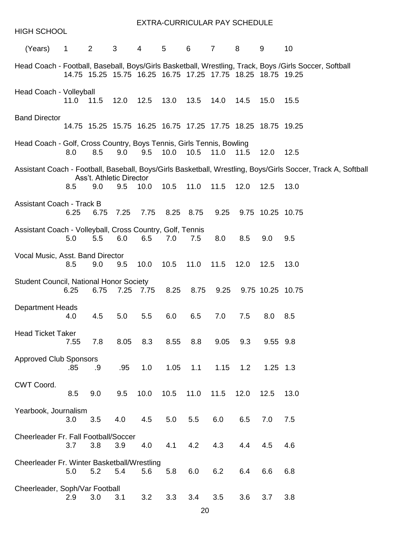| <b>HIGH SCHOOL</b>                                                   |                |                                |                                                                      |                 | EXTRA-CURRICULAR PAY SCHEDULE |           |           |      |                  |                                                                                                              |
|----------------------------------------------------------------------|----------------|--------------------------------|----------------------------------------------------------------------|-----------------|-------------------------------|-----------|-----------|------|------------------|--------------------------------------------------------------------------------------------------------------|
| (Years)                                                              | $\overline{1}$ | $2 \left( \frac{1}{2} \right)$ | $3^{\circ}$                                                          | $4\overline{ }$ | $5^{\circ}$                   | 6 7       |           | 8    | 9                | 10                                                                                                           |
|                                                                      |                |                                | 14.75 15.25 15.75 16.25 16.75 17.25 17.75 18.25 18.75 19.25          |                 |                               |           |           |      |                  | Head Coach - Football, Baseball, Boys/Girls Basketball, Wrestling, Track, Boys /Girls Soccer, Softball       |
| Head Coach - Volleyball                                              | 11.0           | 11.5                           | 12.0                                                                 |                 | 12.5 13.0 13.5                |           | 14.0      | 14.5 | 15.0             | 15.5                                                                                                         |
| <b>Band Director</b>                                                 |                |                                | 14.75  15.25  15.75  16.25  16.75  17.25  17.75  18.25  18.75  19.25 |                 |                               |           |           |      |                  |                                                                                                              |
| Head Coach - Golf, Cross Country, Boys Tennis, Girls Tennis, Bowling | 8.0            | 8.5                            | 9.0                                                                  |                 | 9.5 10.0 10.5                 |           | 11.0 11.5 |      | 12.0             | 12.5                                                                                                         |
|                                                                      |                |                                |                                                                      |                 |                               |           |           |      |                  | Assistant Coach - Football, Baseball, Boys/Girls Basketball, Wrestling, Boys/Girls Soccer, Track A, Softball |
|                                                                      | 8.5            | 9.0                            | Ass't. Athletic Director<br>9.5                                      |                 | 10.0 10.5 11.0 11.5 12.0      |           |           |      | 12.5             | 13.0                                                                                                         |
| <b>Assistant Coach - Track B</b>                                     | 6.25           |                                | 6.75 7.25                                                            |                 | 7.75 8.25 8.75 9.25           |           |           |      | 9.75 10.25 10.75 |                                                                                                              |
| Assistant Coach - Volleyball, Cross Country, Golf, Tennis            | 5.0            | 5.5                            | 6.0                                                                  | 6.5             | 7.0                           | 7.5       | 8.0       | 8.5  | 9.0              | 9.5                                                                                                          |
| Vocal Music, Asst. Band Director                                     | 8.5            | 9.0                            | 9.5                                                                  | 10.0            |                               | 10.5 11.0 | 11.5      | 12.0 | 12.5             | 13.0                                                                                                         |
| <b>Student Council, National Honor Society</b>                       | 6.25           | 6.75                           |                                                                      | 7.25 7.75       |                               | 8.25 8.75 | 9.25      |      | 9.75 10.25 10.75 |                                                                                                              |
| <b>Department Heads</b>                                              | 4.0            | 4.5                            | 5.0                                                                  | 5.5             | 6.0                           | 6.5       | 7.0       | 7.5  | 8.0 8.5          |                                                                                                              |
| <b>Head Ticket Taker</b>                                             | 7.55           | 7.8                            | 8.05                                                                 | 8.3             | 8.55                          | 8.8       | 9.05      | 9.3  | 9.55 9.8         |                                                                                                              |
| <b>Approved Club Sponsors</b>                                        | .85            | .9                             | .95                                                                  | 1.0             | 1.05                          | 1.1       | 1.15      | 1.2  | $1.25$ $1.3$     |                                                                                                              |
| CWT Coord.                                                           | 8.5            | 9.0                            | 9.5                                                                  | 10.0            | 10.5                          | 11.0      | 11.5      | 12.0 | 12.5             | 13.0                                                                                                         |
| Yearbook, Journalism                                                 | 3.0            | 3.5                            | 4.0                                                                  | 4.5             | 5.0                           | 5.5       | 6.0       | 6.5  | 7.0              | 7.5                                                                                                          |
| Cheerleader Fr. Fall Football/Soccer                                 | 3.7            | 3.8                            | 3.9                                                                  | 4.0             | 4.1                           | 4.2       | 4.3       | 4.4  | 4.5              | 4.6                                                                                                          |
| Cheerleader Fr. Winter Basketball/Wrestling                          | 5.0            | 5.2                            | 5.4                                                                  | 5.6             | 5.8                           | 6.0       | 6.2       | 6.4  | 6.6              | 6.8                                                                                                          |
| Cheerleader, Soph/Var Football                                       | 2.9            | 3.0                            | 3.1                                                                  | 3.2             | 3.3                           | 3.4       | 3.5       | 3.6  | 3.7              | 3.8                                                                                                          |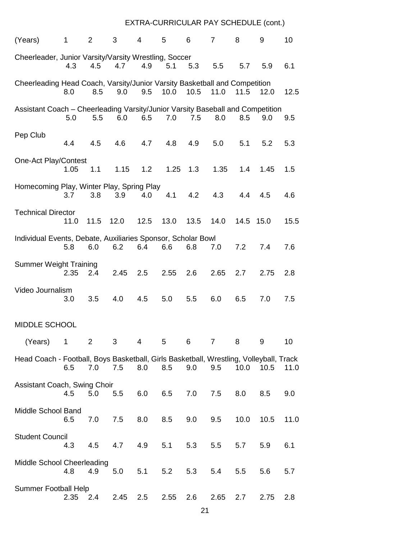# EXTRA-CURRICULAR PAY SCHEDULE (cont.)

| (Years)                                                                                | $\mathbf{1}$ | $\overline{2}$ | 3          | $\overline{4}$ | 5       | 6            | $\overline{7}$ | 8         | 9          | 10   |
|----------------------------------------------------------------------------------------|--------------|----------------|------------|----------------|---------|--------------|----------------|-----------|------------|------|
| Cheerleader, Junior Varsity/Varsity Wrestling, Soccer                                  | 4.3          | 4.5            | 4.7        | 4.9            | 5.1     | 5.3          | 5.5            | 5.7       | 5.9        | 6.1  |
| Cheerleading Head Coach, Varsity/Junior Varsity Basketball and Competition             | 8.0          | 8.5            | 9.0        | 9.5            | 10.0    | 10.5         | 11.0           | 11.5      | 12.0       | 12.5 |
| Assistant Coach - Cheerleading Varsity/Junior Varsity Baseball and Competition         | 5.0          | 5.5            | 6.0        |                | 6.5 7.0 | 7.5          | 8.0            | 8.5       | 9.0        | 9.5  |
| Pep Club                                                                               | 4.4          | 4.5            | 4.6        | 4.7            | 4.8     | 4.9          | 5.0            | 5.1       | 5.2        | 5.3  |
| <b>One-Act Play/Contest</b>                                                            | 1.05         | 1.1            |            | $1.15$ $1.2$   |         | $1.25$ $1.3$ | 1.35           |           | $1.4$ 1.45 | 1.5  |
| Homecoming Play, Winter Play, Spring Play                                              | 3.7          | 3.8            | 3.9        | 4.0            | 4.1     | 4.2          | 4.3            | 4.4       | 4.5        | 4.6  |
| <b>Technical Director</b>                                                              | 11.0         | 11.5 12.0      |            | 12.5           | 13.0    | 13.5         | 14.0           | 14.5 15.0 |            | 15.5 |
| Individual Events, Debate, Auxiliaries Sponsor, Scholar Bowl                           | 5.8          | 6.0            | 6.2        | 6.4            | 6.6     | 6.8          | 7.0            | 7.2       | 7.4        | 7.6  |
| <b>Summer Weight Training</b>                                                          | 2.35         | 2.4            | $2.45$ 2.5 |                | 2.55    | 2.6          | 2.65           | 2.7       | 2.75       | 2.8  |
| Video Journalism                                                                       | 3.0          | 3.5            | 4.0        | 4.5            | 5.0     | 5.5          | 6.0            | 6.5       | 7.0        | 7.5  |
| <b>MIDDLE SCHOOL</b>                                                                   |              |                |            |                |         |              |                |           |            |      |
| (Years)<br>$\overline{\phantom{1}}$                                                    |              | $2 \t3$        |            | 4 5            |         | 6 7          |                | 8         | 9          | 10   |
| Head Coach - Football, Boys Basketball, Girls Basketball, Wrestling, Volleyball, Track | 6.5          | 7.0            | 7.5        | 8.0            | 8.5     | 9.0          | 9.5            |           | 10.0 10.5  | 11.0 |
| Assistant Coach, Swing Choir                                                           | 4.5          | 5.0            | 5.5        | 6.0            | 6.5     | 7.0          | 7.5            | 8.0       | 8.5        | 9.0  |
| Middle School Band                                                                     | 6.5          | 7.0            | 7.5        | 8.0            | 8.5     | 9.0          | 9.5            | 10.0      | 10.5       | 11.0 |
| <b>Student Council</b>                                                                 | 4.3          | 4.5            | 4.7        | 4.9            | 5.1     | 5.3          | 5.5            | 5.7       | 5.9        | 6.1  |
| Middle School Cheerleading                                                             | 4.8          | 4.9            | 5.0        | 5.1            | 5.2     | 5.3          | 5.4            | 5.5       | 5.6        | 5.7  |
| <b>Summer Football Help</b>                                                            | 2.35         | 2.4            | 2.45       | 2.5            | 2.55    | 2.6          | 2.65           | 2.7       | 2.75       | 2.8  |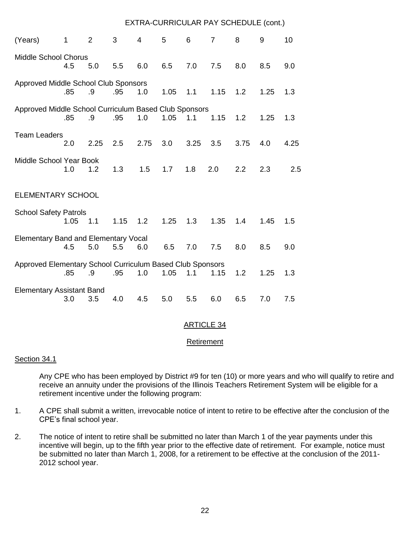# EXTRA-CURRICULAR PAY SCHEDULE (cont.)

| (Years)                                                   | 1    | $\overline{2}$ | 3    | $\overline{4}$ | 5    | 6                 | $\overline{7}$ | 8    | 9    | 10   |
|-----------------------------------------------------------|------|----------------|------|----------------|------|-------------------|----------------|------|------|------|
| <b>Middle School Chorus</b>                               | 4.5  | 5.0            | 5.5  | 6.0            | 6.5  | 7.0               | 7.5            | 8.0  | 8.5  | 9.0  |
| Approved Middle School Club Sponsors                      |      |                |      |                |      |                   |                |      |      |      |
|                                                           | .85  | .9             | .95  | 1.0            | 1.05 | 1.1               | 1.15           | 1.2  | 1.25 | 1.3  |
| Approved Middle School Curriculum Based Club Sponsors     |      |                |      |                |      |                   |                |      |      |      |
|                                                           | .85  | .9             | .95  | 1.0            | 1.05 | 1.1               | 1.15           | 1.2  | 1.25 | 1.3  |
| <b>Team Leaders</b>                                       |      |                |      |                |      |                   |                |      |      |      |
|                                                           | 2.0  | 2.25           | 2.5  | 2.75           | 3.0  | 3.25              | 3.5            | 3.75 | 4.0  | 4.25 |
| Middle School Year Book                                   | 1.0  | 1.2            | 1.3  | 1.5            | 1.7  | 1.8               | 2.0            | 2.2  | 2.3  | 2.5  |
|                                                           |      |                |      |                |      |                   |                |      |      |      |
| <b>ELEMENTARY SCHOOL</b>                                  |      |                |      |                |      |                   |                |      |      |      |
| <b>School Safety Patrols</b>                              |      |                |      |                |      |                   |                |      |      |      |
|                                                           | 1.05 | 1.1            | 1.15 | 1.2            | 1.25 | 1.3               | 1.35           | 1.4  | 1.45 | 1.5  |
| <b>Elementary Band and Elementary Vocal</b>               |      |                |      |                |      |                   |                |      |      |      |
|                                                           | 4.5  | 5.0            | 5.5  | 6.0            | 6.5  | 7.0               | 7.5            | 8.0  | 8.5  | 9.0  |
| Approved Elementary School Curriculum Based Club Sponsors |      |                |      |                |      |                   |                |      |      |      |
|                                                           | .85  | .9             | .95  | 1.0            | 1.05 | 1.1               | 1.15           | 1.2  | 1.25 | 1.3  |
| <b>Elementary Assistant Band</b>                          |      |                |      |                |      |                   |                |      | 7.0  |      |
|                                                           | 3.0  | 3.5            | 4.0  | 4.5            | 5.0  | 5.5               | 6.0            | 6.5  |      | 7.5  |
|                                                           |      |                |      |                |      | <b>ARTICLE 34</b> |                |      |      |      |

# Retirement

#### Section 34.1

Any CPE who has been employed by District #9 for ten (10) or more years and who will qualify to retire and receive an annuity under the provisions of the Illinois Teachers Retirement System will be eligible for a retirement incentive under the following program:

- 1. A CPE shall submit a written, irrevocable notice of intent to retire to be effective after the conclusion of the CPE's final school year.
- 2. The notice of intent to retire shall be submitted no later than March 1 of the year payments under this incentive will begin, up to the fifth year prior to the effective date of retirement. For example, notice must be submitted no later than March 1, 2008, for a retirement to be effective at the conclusion of the 2011- 2012 school year.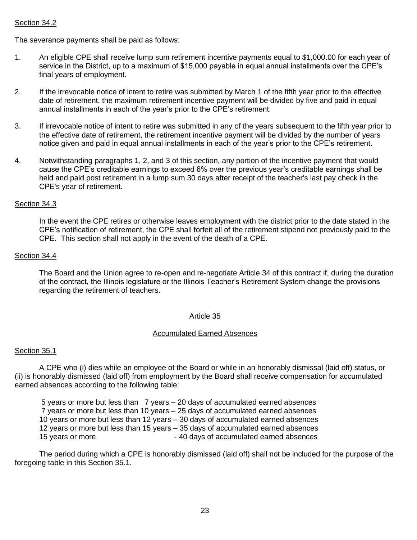# Section 34.2

The severance payments shall be paid as follows:

- 1. An eligible CPE shall receive lump sum retirement incentive payments equal to \$1,000.00 for each year of service in the District, up to a maximum of \$15,000 payable in equal annual installments over the CPE's final years of employment.
- 2. If the irrevocable notice of intent to retire was submitted by March 1 of the fifth year prior to the effective date of retirement, the maximum retirement incentive payment will be divided by five and paid in equal annual installments in each of the year's prior to the CPE's retirement.
- 3. If irrevocable notice of intent to retire was submitted in any of the years subsequent to the fifth year prior to the effective date of retirement, the retirement incentive payment will be divided by the number of years notice given and paid in equal annual installments in each of the year's prior to the CPE's retirement.
- 4. Notwithstanding paragraphs 1, 2, and 3 of this section, any portion of the incentive payment that would cause the CPE's creditable earnings to exceed 6% over the previous year's creditable earnings shall be held and paid post retirement in a lump sum 30 days after receipt of the teacher's last pay check in the CPE's year of retirement.

#### Section 34.3

In the event the CPE retires or otherwise leaves employment with the district prior to the date stated in the CPE's notification of retirement, the CPE shall forfeit all of the retirement stipend not previously paid to the CPE. This section shall not apply in the event of the death of a CPE.

#### Section 34.4

The Board and the Union agree to re-open and re-negotiate Article 34 of this contract if, during the duration of the contract, the Illinois legislature or the Illinois Teacher's Retirement System change the provisions regarding the retirement of teachers.

#### Article 35

#### Accumulated Earned Absences

#### Section 35.1

A CPE who (i) dies while an employee of the Board or while in an honorably dismissal (laid off) status, or (ii) is honorably dismissed (laid off) from employment by the Board shall receive compensation for accumulated earned absences according to the following table:

5 years or more but less than 7 years – 20 days of accumulated earned absences 7 years or more but less than 10 years – 25 days of accumulated earned absences 10 years or more but less than 12 years – 30 days of accumulated earned absences 12 years or more but less than 15 years – 35 days of accumulated earned absences 15 years or more - 40 days of accumulated earned absences

The period during which a CPE is honorably dismissed (laid off) shall not be included for the purpose of the foregoing table in this Section 35.1.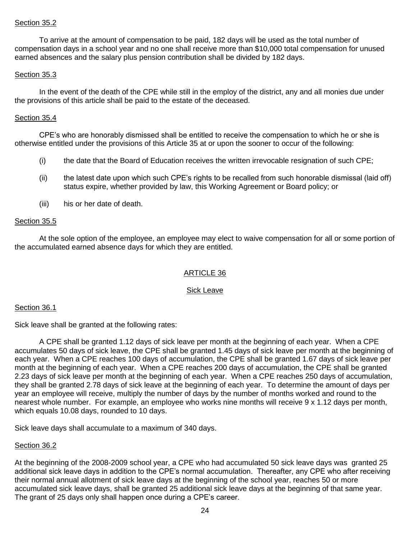# Section 35.2

To arrive at the amount of compensation to be paid, 182 days will be used as the total number of compensation days in a school year and no one shall receive more than \$10,000 total compensation for unused earned absences and the salary plus pension contribution shall be divided by 182 days.

#### Section 35.3

In the event of the death of the CPE while still in the employ of the district, any and all monies due under the provisions of this article shall be paid to the estate of the deceased.

#### Section 35.4

CPE's who are honorably dismissed shall be entitled to receive the compensation to which he or she is otherwise entitled under the provisions of this Article 35 at or upon the sooner to occur of the following:

- (i) the date that the Board of Education receives the written irrevocable resignation of such CPE;
- (ii) the latest date upon which such CPE's rights to be recalled from such honorable dismissal (laid off) status expire, whether provided by law, this Working Agreement or Board policy; or
- (iii) his or her date of death.

#### Section 35.5

At the sole option of the employee, an employee may elect to waive compensation for all or some portion of the accumulated earned absence days for which they are entitled.

# ARTICLE 36

# Sick Leave

#### Section 36.1

Sick leave shall be granted at the following rates:

A CPE shall be granted 1.12 days of sick leave per month at the beginning of each year. When a CPE accumulates 50 days of sick leave, the CPE shall be granted 1.45 days of sick leave per month at the beginning of each year. When a CPE reaches 100 days of accumulation, the CPE shall be granted 1.67 days of sick leave per month at the beginning of each year. When a CPE reaches 200 days of accumulation, the CPE shall be granted 2.23 days of sick leave per month at the beginning of each year. When a CPE reaches 250 days of accumulation, they shall be granted 2.78 days of sick leave at the beginning of each year. To determine the amount of days per year an employee will receive, multiply the number of days by the number of months worked and round to the nearest whole number. For example, an employee who works nine months will receive 9 x 1.12 days per month, which equals 10.08 days, rounded to 10 days.

Sick leave days shall accumulate to a maximum of 340 days.

#### Section 36.2

At the beginning of the 2008-2009 school year, a CPE who had accumulated 50 sick leave days was granted 25 additional sick leave days in addition to the CPE's normal accumulation. Thereafter, any CPE who after receiving their normal annual allotment of sick leave days at the beginning of the school year, reaches 50 or more accumulated sick leave days, shall be granted 25 additional sick leave days at the beginning of that same year. The grant of 25 days only shall happen once during a CPE's career.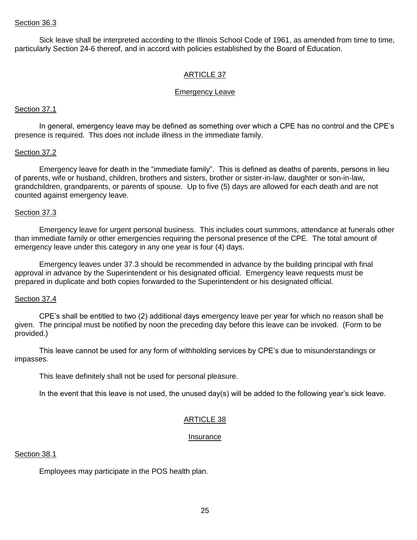Sick leave shall be interpreted according to the Illinois School Code of 1961, as amended from time to time, particularly Section 24-6 thereof, and in accord with policies established by the Board of Education.

#### ARTICLE 37

#### Emergency Leave

#### Section 37.1

In general, emergency leave may be defined as something over which a CPE has no control and the CPE's presence is required. This does not include illness in the immediate family.

#### Section 37.2

Emergency leave for death in the "immediate family". This is defined as deaths of parents, persons in lieu of parents, wife or husband, children, brothers and sisters, brother or sister-in-law, daughter or son-in-law, grandchildren, grandparents, or parents of spouse. Up to five (5) days are allowed for each death and are not counted against emergency leave.

#### Section 37.3

Emergency leave for urgent personal business. This includes court summons, attendance at funerals other than immediate family or other emergencies requiring the personal presence of the CPE. The total amount of emergency leave under this category in any one year is four (4) days.

Emergency leaves under 37.3 should be recommended in advance by the building principal with final approval in advance by the Superintendent or his designated official. Emergency leave requests must be prepared in duplicate and both copies forwarded to the Superintendent or his designated official.

#### Section 37.4

CPE's shall be entitled to two (2) additional days emergency leave per year for which no reason shall be given. The principal must be notified by noon the preceding day before this leave can be invoked. (Form to be provided.)

This leave cannot be used for any form of withholding services by CPE's due to misunderstandings or impasses.

This leave definitely shall not be used for personal pleasure.

In the event that this leave is not used, the unused day(s) will be added to the following year's sick leave.

#### ARTICLE 38

#### Insurance

#### Section 38.1

Employees may participate in the POS health plan.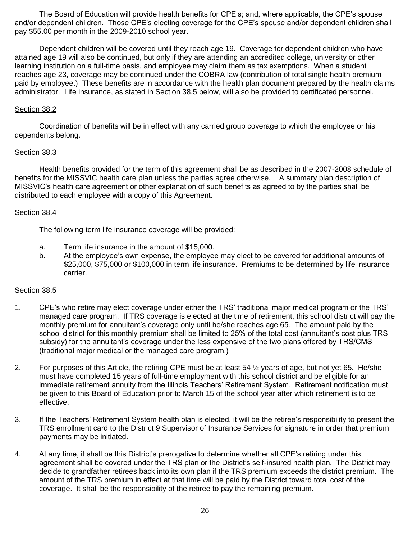The Board of Education will provide health benefits for CPE's; and, where applicable, the CPE's spouse and/or dependent children. Those CPE's electing coverage for the CPE's spouse and/or dependent children shall pay \$55.00 per month in the 2009-2010 school year.

Dependent children will be covered until they reach age 19. Coverage for dependent children who have attained age 19 will also be continued, but only if they are attending an accredited college, university or other learning institution on a full-time basis, and employee may claim them as tax exemptions. When a student reaches age 23, coverage may be continued under the COBRA law (contribution of total single health premium paid by employee.) These benefits are in accordance with the health plan document prepared by the health claims administrator. Life insurance, as stated in Section 38.5 below, will also be provided to certificated personnel.

#### Section 38.2

Coordination of benefits will be in effect with any carried group coverage to which the employee or his dependents belong.

#### Section 38.3

Health benefits provided for the term of this agreement shall be as described in the 2007-2008 schedule of benefits for the MISSVIC health care plan unless the parties agree otherwise. A summary plan description of MISSVIC's health care agreement or other explanation of such benefits as agreed to by the parties shall be distributed to each employee with a copy of this Agreement.

#### Section 38.4

The following term life insurance coverage will be provided:

- a. Term life insurance in the amount of \$15,000.
- b. At the employee's own expense, the employee may elect to be covered for additional amounts of \$25,000, \$75,000 or \$100,000 in term life insurance. Premiums to be determined by life insurance carrier.

# Section 38.5

- 1. CPE's who retire may elect coverage under either the TRS' traditional major medical program or the TRS' managed care program. If TRS coverage is elected at the time of retirement, this school district will pay the monthly premium for annuitant's coverage only until he/she reaches age 65. The amount paid by the school district for this monthly premium shall be limited to 25% of the total cost (annuitant's cost plus TRS subsidy) for the annuitant's coverage under the less expensive of the two plans offered by TRS/CMS (traditional major medical or the managed care program.)
- 2. For purposes of this Article, the retiring CPE must be at least 54 ½ years of age, but not yet 65. He/she must have completed 15 years of full-time employment with this school district and be eligible for an immediate retirement annuity from the Illinois Teachers' Retirement System. Retirement notification must be given to this Board of Education prior to March 15 of the school year after which retirement is to be effective.
- 3. If the Teachers' Retirement System health plan is elected, it will be the retiree's responsibility to present the TRS enrollment card to the District 9 Supervisor of Insurance Services for signature in order that premium payments may be initiated.
- 4. At any time, it shall be this District's prerogative to determine whether all CPE's retiring under this agreement shall be covered under the TRS plan or the District's self-insured health plan. The District may decide to grandfather retirees back into its own plan if the TRS premium exceeds the district premium. The amount of the TRS premium in effect at that time will be paid by the District toward total cost of the coverage. It shall be the responsibility of the retiree to pay the remaining premium.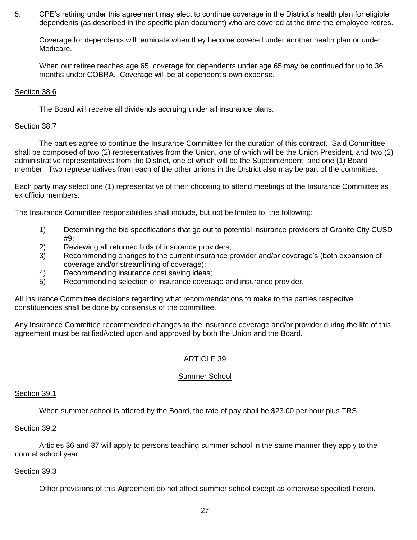5. CPE's retiring under this agreement may elect to continue coverage in the District's health plan for eligible dependents (as described in the specific plan document) who are covered at the time the employee retires.

Coverage for dependents will terminate when they become covered under another health plan or under Medicare.

When our retiree reaches age 65, coverage for dependents under age 65 may be continued for up to 36 months under COBRA. Coverage will be at dependent's own expense.

#### Section 38.6

The Board will receive all dividends accruing under all insurance plans.

#### Section 38.7

The parties agree to continue the Insurance Committee for the duration of this contract. Said Committee shall be composed of two (2) representatives from the Union, one of which will be the Union President, and two (2) administrative representatives from the District, one of which will be the Superintendent, and one (1) Board member. Two representatives from each of the other unions in the District also may be part of the committee.

Each party may select one (1) representative of their choosing to attend meetings of the Insurance Committee as ex officio members.

The Insurance Committee responsibilities shall include, but not be limited to, the following:

- 1) Determining the bid specifications that go out to potential insurance providers of Granite City CUSD #9;
- 2) Reviewing all returned bids of insurance providers;
- 3) Recommending changes to the current insurance provider and/or coverage's (both expansion of coverage and/or streamlining of coverage);
- 4) Recommending insurance cost saving ideas;
- 5) Recommending selection of insurance coverage and insurance provider.

All Insurance Committee decisions regarding what recommendations to make to the parties respective constituencies shall be done by consensus of the committee.

Any Insurance Committee recommended changes to the insurance coverage and/or provider during the life of this agreement must be ratified/voted upon and approved by both the Union and the Board.

# ARTICLE 39

#### Summer School

### Section 39.1

When summer school is offered by the Board, the rate of pay shall be \$23.00 per hour plus TRS.

#### Section 39.2

Articles 36 and 37 will apply to persons teaching summer school in the same manner they apply to the normal school year.

#### Section 39.3

Other provisions of this Agreement do not affect summer school except as otherwise specified herein.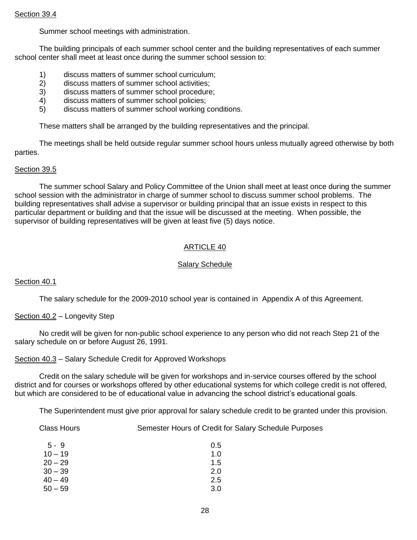#### Section 39.4

Summer school meetings with administration.

The building principals of each summer school center and the building representatives of each summer school center shall meet at least once during the summer school session to:

- 1) discuss matters of summer school curriculum;
- 2) discuss matters of summer school activities;
- 3) discuss matters of summer school procedure;
- 4) discuss matters of summer school policies;
- 5) discuss matters of summer school working conditions.

These matters shall be arranged by the building representatives and the principal.

The meetings shall be held outside regular summer school hours unless mutually agreed otherwise by both parties.

#### Section 39.5

The summer school Salary and Policy Committee of the Union shall meet at least once during the summer school session with the administrator in charge of summer school to discuss summer school problems. The building representatives shall advise a supervisor or building principal that an issue exists in respect to this particular department or building and that the issue will be discussed at the meeting. When possible, the supervisor of building representatives will be given at least five (5) days notice.

# ARTICLE 40

# Salary Schedule

#### Section 40.1

The salary schedule for the 2009-2010 school year is contained in Appendix A of this Agreement.

# Section 40.2 – Longevity Step

No credit will be given for non-public school experience to any person who did not reach Step 21 of the salary schedule on or before August 26, 1991.

Section 40.3 – Salary Schedule Credit for Approved Workshops

Credit on the salary schedule will be given for workshops and in-service courses offered by the school district and for courses or workshops offered by other educational systems for which college credit is not offered, but which are considered to be of educational value in advancing the school district's educational goals.

The Superintendent must give prior approval for salary schedule credit to be granted under this provision.

Class Hours Semester Hours of Credit for Salary Schedule Purposes

| $5 - 9$   | 0.5 |
|-----------|-----|
| $10 - 19$ | 1.0 |
| $20 - 29$ | 1.5 |
| $30 - 39$ | 2.0 |
| $40 - 49$ | 2.5 |
| $50 - 59$ | 3.0 |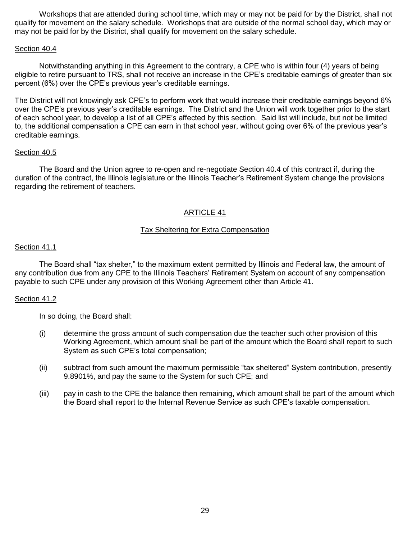Workshops that are attended during school time, which may or may not be paid for by the District, shall not qualify for movement on the salary schedule. Workshops that are outside of the normal school day, which may or may not be paid for by the District, shall qualify for movement on the salary schedule.

#### Section 40.4

Notwithstanding anything in this Agreement to the contrary, a CPE who is within four (4) years of being eligible to retire pursuant to TRS, shall not receive an increase in the CPE's creditable earnings of greater than six percent (6%) over the CPE's previous year's creditable earnings.

The District will not knowingly ask CPE's to perform work that would increase their creditable earnings beyond 6% over the CPE's previous year's creditable earnings. The District and the Union will work together prior to the start of each school year, to develop a list of all CPE's affected by this section. Said list will include, but not be limited to, the additional compensation a CPE can earn in that school year, without going over 6% of the previous year's creditable earnings.

#### Section 40.5

The Board and the Union agree to re-open and re-negotiate Section 40.4 of this contract if, during the duration of the contract, the Illinois legislature or the Illinois Teacher's Retirement System change the provisions regarding the retirement of teachers.

# ARTICLE 41

#### Tax Sheltering for Extra Compensation

#### Section 41.1

The Board shall "tax shelter," to the maximum extent permitted by Illinois and Federal law, the amount of any contribution due from any CPE to the Illinois Teachers' Retirement System on account of any compensation payable to such CPE under any provision of this Working Agreement other than Article 41.

#### Section 41.2

In so doing, the Board shall:

- (i) determine the gross amount of such compensation due the teacher such other provision of this Working Agreement, which amount shall be part of the amount which the Board shall report to such System as such CPE's total compensation;
- (ii) subtract from such amount the maximum permissible "tax sheltered" System contribution, presently 9.8901%, and pay the same to the System for such CPE; and
- (iii) pay in cash to the CPE the balance then remaining, which amount shall be part of the amount which the Board shall report to the Internal Revenue Service as such CPE's taxable compensation.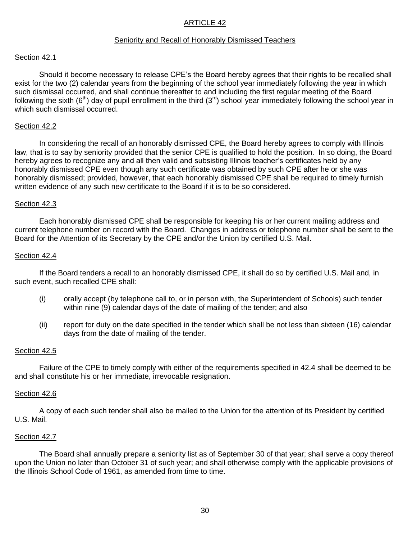#### Seniority and Recall of Honorably Dismissed Teachers

#### Section 42.1

Should it become necessary to release CPE's the Board hereby agrees that their rights to be recalled shall exist for the two (2) calendar years from the beginning of the school year immediately following the year in which such dismissal occurred, and shall continue thereafter to and including the first regular meeting of the Board following the sixth  $(6<sup>th</sup>)$  day of pupil enrollment in the third  $(3<sup>rd</sup>)$  school year immediately following the school year in which such dismissal occurred.

#### Section 42.2

In considering the recall of an honorably dismissed CPE, the Board hereby agrees to comply with Illinois law, that is to say by seniority provided that the senior CPE is qualified to hold the position. In so doing, the Board hereby agrees to recognize any and all then valid and subsisting Illinois teacher's certificates held by any honorably dismissed CPE even though any such certificate was obtained by such CPE after he or she was honorably dismissed; provided, however, that each honorably dismissed CPE shall be required to timely furnish written evidence of any such new certificate to the Board if it is to be so considered.

#### Section 42.3

Each honorably dismissed CPE shall be responsible for keeping his or her current mailing address and current telephone number on record with the Board. Changes in address or telephone number shall be sent to the Board for the Attention of its Secretary by the CPE and/or the Union by certified U.S. Mail.

#### Section 42.4

If the Board tenders a recall to an honorably dismissed CPE, it shall do so by certified U.S. Mail and, in such event, such recalled CPE shall:

- (i) orally accept (by telephone call to, or in person with, the Superintendent of Schools) such tender within nine (9) calendar days of the date of mailing of the tender; and also
- (ii) report for duty on the date specified in the tender which shall be not less than sixteen (16) calendar days from the date of mailing of the tender.

#### Section 42.5

Failure of the CPE to timely comply with either of the requirements specified in 42.4 shall be deemed to be and shall constitute his or her immediate, irrevocable resignation.

#### Section 42.6

A copy of each such tender shall also be mailed to the Union for the attention of its President by certified U.S. Mail.

#### Section 42.7

The Board shall annually prepare a seniority list as of September 30 of that year; shall serve a copy thereof upon the Union no later than October 31 of such year; and shall otherwise comply with the applicable provisions of the Illinois School Code of 1961, as amended from time to time.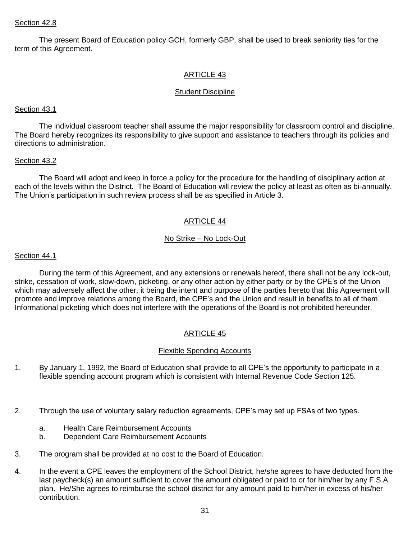#### Section 42.8

The present Board of Education policy GCH, formerly GBP, shall be used to break seniority ties for the term of this Agreement.

# ARTICLE 43

#### Student Discipline

#### Section 43.1

The individual classroom teacher shall assume the major responsibility for classroom control and discipline. The Board hereby recognizes its responsibility to give support and assistance to teachers through its policies and directions to administration.

#### Section 43.2

The Board will adopt and keep in force a policy for the procedure for the handling of disciplinary action at each of the levels within the District. The Board of Education will review the policy at least as often as bi-annually. The Union's participation in such review process shall be as specified in Article 3.

# ARTICLE 44

#### No Strike – No Lock-Out

#### Section 44.1

During the term of this Agreement, and any extensions or renewals hereof, there shall not be any lock-out, strike, cessation of work, slow-down, picketing, or any other action by either party or by the CPE's of the Union which may adversely affect the other, it being the intent and purpose of the parties hereto that this Agreement will promote and improve relations among the Board, the CPE's and the Union and result in benefits to all of them. Informational picketing which does not interfere with the operations of the Board is not prohibited hereunder.

# ARTICLE 45

# Flexible Spending Accounts

- 1. By January 1, 1992, the Board of Education shall provide to all CPE's the opportunity to participate in a flexible spending account program which is consistent with Internal Revenue Code Section 125.
- 2. Through the use of voluntary salary reduction agreements, CPE's may set up FSAs of two types.
	- a. Health Care Reimbursement Accounts
	- b. Dependent Care Reimbursement Accounts
- 3. The program shall be provided at no cost to the Board of Education.
- 4. In the event a CPE leaves the employment of the School District, he/she agrees to have deducted from the last paycheck(s) an amount sufficient to cover the amount obligated or paid to or for him/her by any F.S.A. plan. He/She agrees to reimburse the school district for any amount paid to him/her in excess of his/her contribution.